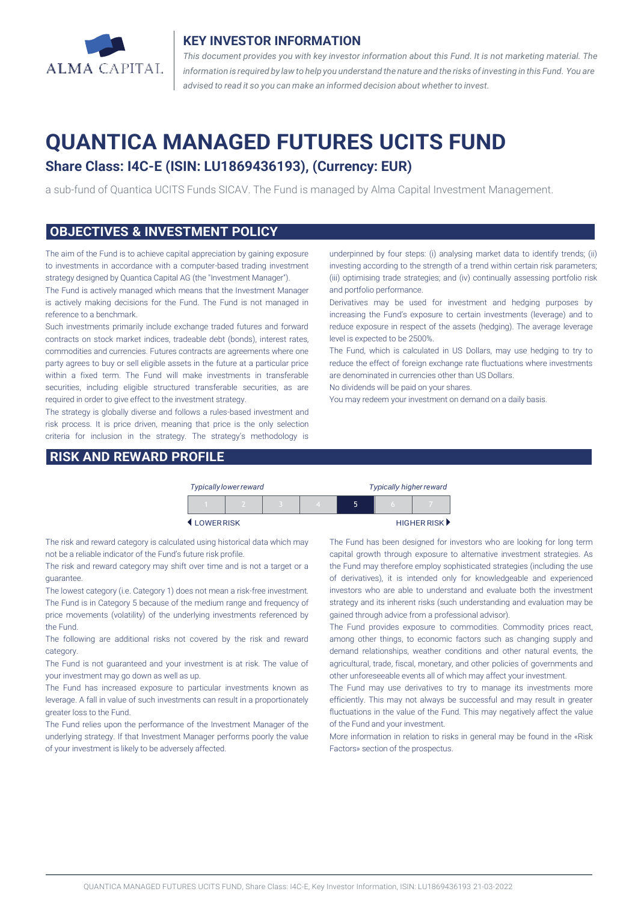

### **KEY INVESTOR INFORMATION**

*This document provides you with key investor information about this Fund. It is not marketing material. The* information is required by law to help you understand the nature and the risks of investing in this Fund. You are *advised to read it so you can make an informed decision about whether to invest.*

# **QUANTICA MANAGED FUTURES UCITS FUND**

# **Share Class: I4C-E (ISIN: LU1869436193), (Currency: EUR)**

a sub-fund of Quantica UCITS Funds SICAV. The Fund is managed by Alma Capital Investment Management.

#### **OBJECTIVES & INVESTMENT POLICY**

The aim of the Fund is to achieve capital appreciation by gaining exposure to investments in accordance with a computer-based trading investment strategy designed by Quantica Capital AG (the "Investment Manager").

The Fund is actively managed which means that the Investment Manager is actively making decisions for the Fund. The Fund is not managed in reference to a benchmark.

Such investments primarily include exchange traded futures and forward contracts on stock market indices, tradeable debt (bonds), interest rates, commodities and currencies. Futures contracts are agreements where one party agrees to buy or sell eligible assets in the future at a particular price within a fixed term. The Fund will make investments in transferable securities, including eligible structured transferable securities, as are required in order to give effect to the investment strategy.

The strategy is globally diverse and follows a rules-based investment and risk process. It is price driven, meaning that price is the only selection criteria for inclusion in the strategy. The strategy's methodology is

### **RISK AND REWARD PROFILE**

underpinned by four steps: (i) analysing market data to identify trends; (ii) investing according to the strength of a trend within certain risk parameters; (iii) optimising trade strategies; and (iv) continually assessing portfolio risk and portfolio performance.

Derivatives may be used for investment and hedging purposes by increasing the Fund's exposure to certain investments (leverage) and to reduce exposure in respect of the assets (hedging). The average leverage level is expected to be 2500%.

The Fund, which is calculated in US Dollars, may use hedging to try to reduce the effect of foreign exchange rate fluctuations where investments are denominated in currencies other than US Dollars.

No dividends will be paid on your shares.

You may redeem your investment on demand on a daily basis.

|           | <b>Typically lower reward</b> |  | <b>Typically higher reward</b> |   |   |             |
|-----------|-------------------------------|--|--------------------------------|---|---|-------------|
|           |                               |  |                                | ה | n |             |
| LOWERRISK |                               |  |                                |   |   | HIGHER RISK |

The risk and reward category is calculated using historical data which may not be a reliable indicator of the Fund's future risk profile.

The risk and reward category may shift over time and is not a target or a guarantee.

The lowest category (i.e. Category 1) does not mean a risk-free investment. The Fund is in Category 5 because of the medium range and frequency of price movements (volatility) of the underlying investments referenced by the Fund.

The following are additional risks not covered by the risk and reward category.

The Fund is not guaranteed and your investment is at risk. The value of your investment may go down as well as up.

The Fund has increased exposure to particular investments known as leverage. A fall in value of such investments can result in a proportionately greater loss to the Fund.

The Fund relies upon the performance of the Investment Manager of the underlying strategy. If that Investment Manager performs poorly the value of your investment is likely to be adversely affected.

The Fund has been designed for investors who are looking for long term capital growth through exposure to alternative investment strategies. As the Fund may therefore employ sophisticated strategies (including the use of derivatives), it is intended only for knowledgeable and experienced investors who are able to understand and evaluate both the investment strategy and its inherent risks (such understanding and evaluation may be gained through advice from a professional advisor).

The Fund provides exposure to commodities. Commodity prices react, among other things, to economic factors such as changing supply and demand relationships, weather conditions and other natural events, the agricultural, trade, fiscal, monetary, and other policies of governments and other unforeseeable events all of which may affect your investment.

The Fund may use derivatives to try to manage its investments more efficiently. This may not always be successful and may result in greater fluctuations in the value of the Fund. This may negatively affect the value of the Fund and your investment.

More information in relation to risks in general may be found in the «Risk Factors» section of the prospectus.